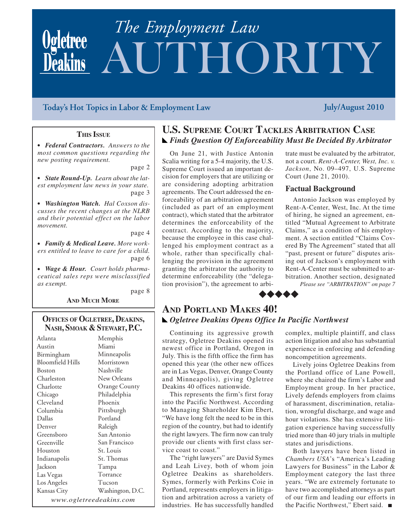# UTHORITY *The Employment Law*

## **Today's Hot Topics in Labor & Employment Law July/August 2010**

### **THIS ISSUE**

<sup>O</sup> *Federal Contractors. Answers to the most common questions regarding the new posting requirement.*

page 2

• State Round-Up. Learn about the lat*est employment law news in your state.* page 3

• Washington Watch. Hal Coxson dis*cusses the recent changes at the NLRB and their potential effect on the labor movement.*

page 4

• Family & Medical Leave. More work*ers entitled to leave to care for a child.* page 6

• Wage & Hour. Court holds pharma*ceutical sales reps were misclassified as exempt.*

**AND MUCH MORE** 

page 8

## **OFFICES OF OGLETREE, DEAKINS, NASH, SMOAK & STEWART, P.C.**

Atlanta Austin Birmingham Bloomfield Hills Boston Charleston Charlotte Chicago Cleveland Columbia Dallas Denver Greensboro Greenville Houston Indianapolis Jackson Las Vegas Los Angeles Kansas City Memphis Miami Minneapolis Morristown Nashville New Orleans Orange County Philadelphia Phoenix Pittsburgh Portland Raleigh San Antonio San Francisco St. Louis St. Thomas Tampa Torrance Tucson Washington, D.C. *www.ogletreedeakins.com*

## **U.S. SUPREME COURT TACKLES ARBITRATION CASE** *Finds Question Of Enforceability Must Be Decided By Arbitrator*

On June 21, with Justice Antonin Scalia writing for a 5-4 majority, the U.S. Supreme Court issued an important decision for employers that are utilizing or are considering adopting arbitration agreements. The Court addressed the enforceability of an arbitration agreement (included as part of an employment contract), which stated that the arbitrator determines the enforceability of the contract. According to the majority, because the employee in this case challenged his employment contract as a whole, rather than specifically challenging the provision in the agreement granting the arbitrator the authority to determine enforceability (the "delegation provision"), the agreement to arbitrate must be evaluated by the arbitrator, not a court. *Rent-A-Center, West, Inc. v. Jackson*, No. 09–497, U.S. Supreme Court (June 21, 2010).

#### **Factual Background**

Antonio Jackson was employed by Rent-A-Center, West, Inc. At the time of hiring, he signed an agreement, entitled "Mutual Agreement to Arbitrate Claims," as a condition of his employment. A section entitled "Claims Covered By The Agreement" stated that all "past, present or future" disputes arising out of Jackson's employment with Rent-A-Center must be submitted to arbitration. Another section, designated

*Please see "ARBITRATION" on page 7*

## **AND PORTLAND MAKES 40!** *Ogletree Deakins Opens Office In Pacific Northwest*

 $\leftrightarrow \leftrightarrow \leftrightarrow$ 

Continuing its aggressive growth strategy, Ogletree Deakins opened its newest office in Portland, Oregon in July. This is the fifth office the firm has opened this year (the other new offices are in Las Vegas, Denver, Orange County and Minneapolis), giving Ogletree Deakins 40 offices nationwide.

This represents the firm's first foray into the Pacific Northwest. According to Managing Shareholder Kim Ebert, "We have long felt the need to be in this region of the country, but had to identify the right lawyers. The firm now can truly provide our clients with first class service coast to coast."

The "right lawyers" are David Symes and Leah Livey, both of whom join Ogletree Deakins as shareholders. Symes, formerly with Perkins Coie in Portland, represents employers in litigation and arbitration across a variety of industries. He has successfully handled complex, multiple plaintiff, and class action litigation and also has substantial experience in enforcing and defending noncompetition agreements.

Lively joins Ogletree Deakins from the Portland office of Lane Powell, where she chaired the firm's Labor and Employment group. In her practice, Lively defends employers from claims of harassment, discrimination, retaliation, wrongful discharge, and wage and hour violations. She has extensive litigation experience having successfully tried more than 40 jury trials in multiple states and jurisdictions.

Both lawyers have been listed in *Chambers USA*'s "America's Leading Lawyers for Business" in the Labor & Employment category the last three years. "We are extremely fortunate to have two accomplished attorneys as part of our firm and leading our efforts in the Pacific Northwest," Ebert said.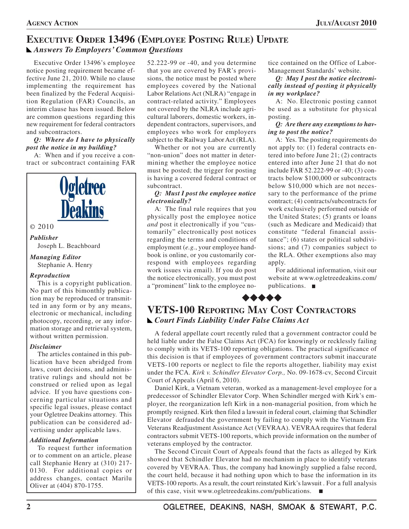## **EXECUTIVE ORDER 13496 (EMPLOYEE POSTING RULE) UPDATE** *Answers To Employers' Common Questions*

Executive Order 13496's employee notice posting requirement became effective June 21, 2010. While no clause implementing the requirement has been finalized by the Federal Acquisition Regulation (FAR) Councils, an interim clause has been issued. Below are common questions regarding this new requirement for federal contractors and subcontractors.

#### *Q: Where do I have to physically post the notice in my building?*

A: When and if you receive a contract or subcontract containing FAR



This is a copyright publication. No part of this bimonthly publication may be reproduced or transmitted in any form or by any means, electronic or mechanical, including photocopy, recording, or any information storage and retrieval system, without written permission.

#### *Disclaimer*

The articles contained in this publication have been abridged from laws, court decisions, and administrative rulings and should not be construed or relied upon as legal advice. If you have questions concerning particular situations and specific legal issues, please contact your Ogletree Deakins attorney. This publication can be considered advertising under applicable laws.

#### *Additional Information*

To request further information or to comment on an article, please call Stephanie Henry at (310) 217- 0130. For additional copies or address changes, contact Marilu Oliver at (404) 870-1755.

52.222-99 or -40, and you determine that you are covered by FAR's provisions, the notice must be posted where employees covered by the National Labor Relations Act (NLRA) "engage in contract-related activity." Employees not covered by the NLRA include agricultural laborers, domestic workers, independent contractors, supervisors, and employees who work for employers subject to the Railway Labor Act (RLA).

Whether or not you are currently "non-union" does not matter in determining whether the employee notice must be posted; the trigger for posting is having a covered federal contract or subcontract.

#### *Q: Must I post the employee notice electronically?*

A: The final rule requires that you physically post the employee notice *and* post it electronically if you "customarily" electronically post notices regarding the terms and conditions of employment (*e.g.*, your employee handbook is online, or you customarily correspond with employees regarding work issues via email). If you do post the notice electronically, you must post a "prominent" link to the employee no-

tice contained on the Office of Labor-Management Standards' website.

*Q: May I post the notice electronically instead of posting it physically in my workplace?*

A: No. Electronic posting cannot be used as a substitute for physical posting.

*Q: Are there any exemptions to having to post the notice?*

A: Yes. The posting requirements do not apply to: (1) federal contracts entered into before June 21; (2) contracts entered into after June 21 that do not include FAR 52.222-99 or -40; (3) contracts below \$100,000 or subcontracts below \$10,000 which are not necessary to the performance of the prime contract; (4) contracts/subcontracts for work exclusively performed outside of the United States; (5) grants or loans (such as Medicare and Medicaid) that constitute "federal financial assistance"; (6) states or political subdivisions; and (7) companies subject to the RLA. Other exemptions also may apply.

For additional information, visit our website at www.ogletreedeakins.com/ publications.

## $\leftrightarrow \leftrightarrow \leftrightarrow$

## **VETS-100 REPORTING MAY COST CONTRACTORS** *Court Finds Liability Under False Claims Act*

A federal appellate court recently ruled that a government contractor could be held liable under the False Claims Act (FCA) for knowingly or recklessly failing to comply with its VETS-100 reporting obligations. The practical significance of this decision is that if employees of government contractors submit inaccurate VETS-100 reports or neglect to file the reports altogether, liability may exist under the FCA. *Kirk v. Schindler Elevator Corp.,* No. 09-1678-cv, Second Circuit Court of Appeals (April 6, 2010).

Daniel Kirk, a Vietnam veteran, worked as a management-level employee for a predecessor of Schindler Elevator Corp. When Schindler merged with Kirk's employer, the reorganization left Kirk in a non-managerial position, from which he promptly resigned. Kirk then filed a lawsuit in federal court, claiming that Schindler Elevator defrauded the government by failing to comply with the Vietnam Era Veterans Readjustment Assistance Act (VEVRAA). VEVRAA requires that federal contractors submit VETS-100 reports, which provide information on the number of veterans employed by the contractor.

The Second Circuit Court of Appeals found that the facts as alleged by Kirk showed that Schindler Elevator had no mechanism in place to identify veterans covered by VEVRAA. Thus, the company had knowingly supplied a false record, the court held, because it had nothing upon which to base the information in its VETS-100 reports. As a result, the court reinstated Kirk's lawsuit . For a full analysis of this case, visit www.ogletreedeakins.com/publications.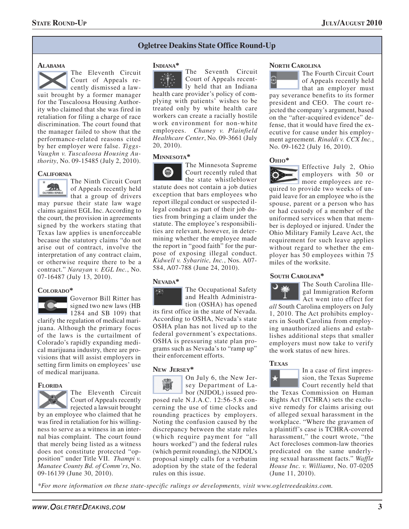#### **Ogletree Deakins State Office Round-Up**

#### **ALABAMA**

The Eleventh Circuit Court of Appeals recently dismissed a lawsuit brought by a former manager for the Tuscaloosa Housing Authority who claimed that she was fired in retaliation for filing a charge of race discrimination. The court found that the manager failed to show that the performance-related reasons cited by her employer were false. *Tiggs-Vaughn v. Tuscaloosa Housing Authority*, No. 09-15485 (July 2, 2010). The Minnesota Supreme

#### **CALIFORNIA**



The Ninth Circuit Court of Appeals recently held **that a group of drivers** 

may pursue their state law wage claims against EGL Inc. According to the court, the provision in agreements signed by the workers stating that Texas law applies is unenforceable because the statutory claims "do not arise out of contract, involve the interpretation of any contract claim, or otherwise require there to be a contract." *Narayan v. EGL Inc.*, No. 07-16487 (July 13, 2010).



Governor Bill Ritter has signed two new laws (HB 1284 and SB 109) that

clarify the regulation of medical marijuana. Although the primary focus of the laws is the curtailment of Colorado's rapidly expanding medical marijuana industry, there are provisions that will assist employers in setting firm limits on employees' use of medical marijuana.

#### **FLORIDA**



The Eleventh Circuit Court of Appeals recently rejected a lawsuit brought

by an employee who claimed that he was fired in retaliation for his willingness to serve as a witness in an internal bias complaint. The court found that merely being listed as a witness does not constitute protected "opposition" under Title VII. *Thampi v. Manatee County Bd. of Comm'rs*, No. 09-16139 (June 30, 2010).

#### **INDIANA\***

The Seventh Circuit Court of Appeals recent- $\sim$   $\sim$ ly held that an Indiana health care provider's policy of complying with patients' wishes to be treated only by white health care workers can create a racially hostile work environment for non-white employees. *Chaney v. Plainfield Healthcare Center*, No. 09-3661 (July 20, 2010).

#### **MINNESOTA\***



Court recently ruled that the state whistleblower

statute does not contain a job duties exception that bars employees who report illegal conduct or suspected illegal conduct as part of their job duties from bringing a claim under the statute. The employee's responsibilities are relevant, however, in determining whether the employee made the report in "good faith" for the purpose of exposing illegal conduct. *Kidwell v. Sybaritic, Inc.*, Nos. A07- 584, A07-788 (June 24, 2010).

#### **NEVADA\***



**COLORADO\*** The Occupational Safety and Health Administra-

tion (OSHA) has opened its first office in the state of Nevada. According to OSHA, Nevada's state OSHA plan has not lived up to the federal government's expectations. OSHA is pressuring state plan programs such as Nevada's to "ramp up" their enforcement efforts.

#### **NEW JERSEY\***



On July 6, the New Jersey Department of La-

bor (NJDOL) issued proposed rule N.J.A.C. 12:56-5.8 concerning the use of time clocks and rounding practices by employers. Noting the confusion caused by the discrepancy between the state rules (which require payment for "all hours worked") and the federal rules (which permit rounding), the NJDOL's proposal simply calls for a verbatim adoption by the state of the federal rules on this issue.

#### **NORTH CAROLINA**

The Fourth Circuit Court of Appeals recently held

that an employer must pay severance benefits to its former president and CEO. The court rejected the company's argument, based on the "after-acquired evidence" defense, that it would have fired the executive for cause under his employment agreement. *Rinaldi v. CCX Inc.*, No. 09-1622 (July 16, 2010).

#### **OHIO\***



Effective July 2, Ohio employers with 50 or more employees are required to provide two weeks of unpaid leave for an employee who is the spouse, parent or a person who has or had custody of a member of the

uniformed services when that member is deployed or injured. Under the Ohio Military Family Leave Act, the requirement for such leave applies without regard to whether the employer has 50 employees within 75 miles of the worksite.

#### **SOUTH CAROLINA\***



The South Carolina Illegal Immigration Reform Act went into effect for

*all* South Carolina employers on July 1, 2010. The Act prohibits employers in South Carolina from employing unauthorized aliens and establishes additional steps that smaller employers must now take to verify the work status of new hires.

#### **TEXAS**



In a case of first impression, the Texas Supreme Court recently held that

the Texas Commission on Human Rights Act (TCHRA) sets the exclusive remedy for claims arising out of alleged sexual harassment in the workplace. "Where the gravamen of a plaintiff's case is TCHRA-covered harassment," the court wrote, "the Act forecloses common-law theories predicated on the same underlying sexual harassment facts." *Waffle House Inc. v. Williams*, No. 07-0205 (June 11, 2010).

*\*For more information on these state-specific rulings or developments, visit www.ogletreedeakins.com.*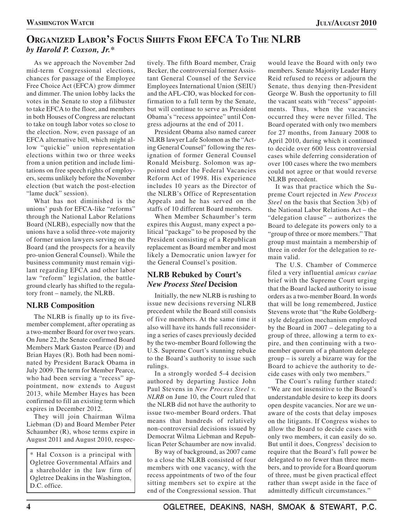## **ORGANIZED LABOR'S FOCUS SHIFTS FROM EFCA TO THE NLRB** *by Harold P. Coxson, Jr.\**

As we approach the November 2nd mid-term Congressional elections, chances for passage of the Employee Free Choice Act (EFCA) grow dimmer and dimmer. The union lobby lacks the votes in the Senate to stop a filibuster to take EFCA to the floor, and members in both Houses of Congress are reluctant to take on tough labor votes so close to the election. Now, even passage of an EFCA alternative bill, which might allow "quickie" union representation elections within two or three weeks from a union petition and include limitations on free speech rights of employers, seems unlikely before the November election (but watch the post-election "lame duck" session).

What has not diminished is the unions' push for EFCA-like "reforms" through the National Labor Relations Board (NLRB), especially now that the unions have a solid three-vote majority of former union lawyers serving on the Board (and the prospects for a heavily pro-union General Counsel). While the business community must remain vigilant regarding EFCA and other labor law "reform" legislation, the battleground clearly has shifted to the regulatory front – namely, the NLRB.

## **NLRB Composition**

The NLRB is finally up to its fivemember complement, after operating as a two-member Board for over two years. On June 22, the Senate confirmed Board Members Mark Gaston Pearce (D) and Brian Hayes (R). Both had been nominated by President Barack Obama in July 2009. The term for Member Pearce, who had been serving a "recess" appointment, now extends to August 2013, while Member Hayes has been confirmed to fill an existing term which expires in December 2012.

They will join Chairman Wilma Liebman (D) and Board Member Peter Schaumber (R), whose terms expire in August 2011 and August 2010, respec-

\* Hal Coxson is a principal with Ogletree Governmental Affairs and a shareholder in the law firm of Ogletree Deakins in the Washington, D.C. office.

tively. The fifth Board member, Craig Becker, the controversial former Assistant General Counsel of the Service Employees International Union (SEIU) and the AFL-CIO, was blocked for confirmation to a full term by the Senate, but will continue to serve as President Obama's "recess appointee" until Congress adjourns at the end of 2011.

President Obama also named career NLRB lawyer Lafe Solomon as the "Acting General Counsel" following the resignation of former General Counsel Ronald Meisburg. Solomon was appointed under the Federal Vacancies Reform Act of 1998. His experience includes 10 years as the Director of the NLRB's Office of Representation Appeals and he has served on the staffs of 10 different Board members.

When Member Schaumber's term expires this August, many expect a political "package" to be proposed by the President consisting of a Republican replacement as Board member and most likely a Democratic union lawyer for the General Counsel's position.

## **NLRB Rebuked by Court's** *New Process Steel* **Decision**

Initially, the new NLRB is rushing to issue new decisions reversing NLRB precedent while the Board still consists of five members. At the same time it also will have its hands full reconsidering a series of cases previously decided by the two-member Board following the U.S. Supreme Court's stunning rebuke to the Board's authority to issue such rulings.

In a strongly worded 5-4 decision authored by departing Justice John Paul Stevens in *New Process Steel v. NLRB* on June 10, the Court ruled that the NLRB did not have the authority to issue two-member Board orders. That means that hundreds of relatively non-controversial decisions issued by Democrat Wilma Liebman and Republican Peter Schaumber are now invalid.

By way of background, as 2007 came to a close the NLRB consisted of four members with one vacancy, with the recess appointments of two of the four sitting members set to expire at the end of the Congressional session. That would leave the Board with only two members. Senate Majority Leader Harry Reid refused to recess or adjourn the Senate, thus denying then-President George W. Bush the opportunity to fill the vacant seats with "recess" appointments. Thus, when the vacancies occurred they were never filled. The Board operated with only two members for 27 months, from January 2008 to April 2010, during which it continued to decide over 600 less controversial cases while deferring consideration of over 100 cases where the two members could not agree or that would reverse NLRB precedent.

It was that practice which the Supreme Court rejected in *New Process Steel* on the basis that Section 3(b) of the National Labor Relations Act – the "delegation clause" – authorizes the Board to delegate its powers only to a "group of three or more members." That group must maintain a membership of three in order for the delegation to remain valid.

The U.S. Chamber of Commerce filed a very influential *amicus curiae* brief with the Supreme Court urging that the Board lacked authority to issue orders as a two-member Board. In words that will be long remembered, Justice Stevens wrote that "the Rube Goldbergstyle delegation mechanism employed by the Board in 2007 – delegating to a group of three, allowing a term to expire, and then continuing with a twomember quorum of a phantom delegee group – is surely a bizarre way for the Board to achieve the authority to decide cases with only two members."

The Court's ruling further stated: "We are not insensitive to the Board's understandable desire to keep its doors open despite vacancies. Nor are we unaware of the costs that delay imposes on the litigants. If Congress wishes to allow the Board to decide cases with only two members, it can easily do so. But until it does, Congress' decision to require that the Board's full power be delegated to no fewer than three members, and to provide for a Board quorum of three, must be given practical effect rather than swept aside in the face of admittedly difficult circumstances."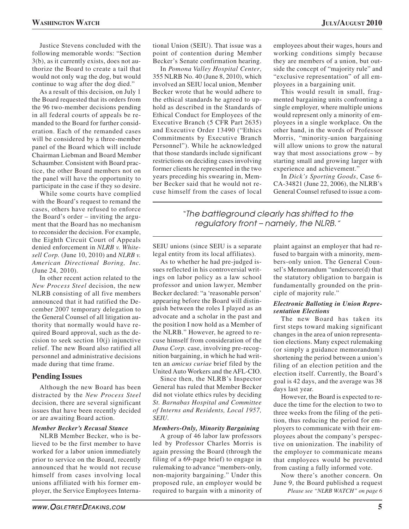Justice Stevens concluded with the following memorable words: "Section 3(b), as it currently exists, does not authorize the Board to create a tail that would not only wag the dog, but would continue to wag after the dog died."

As a result of this decision, on July 1 the Board requested that its orders from the 96 two-member decisions pending in all federal courts of appeals be remanded to the Board for further consideration. Each of the remanded cases will be considered by a three-member panel of the Board which will include Chairman Liebman and Board Member Schaumber. Consistent with Board practice, the other Board members not on the panel will have the opportunity to participate in the case if they so desire.

While some courts have complied with the Board's request to remand the cases, others have refused to enforce the Board's order – inviting the argument that the Board has no mechanism to reconsider the decision. For example, the Eighth Circuit Court of Appeals denied enforcement in *NLRB v. Whitesell Corp.* (June 10, 2010) and *NLRB v. American Directional Boring, Inc.* (June 24, 2010).

In other recent action related to the *New Process Steel* decision, the new NLRB consisting of all five members announced that it had ratified the December 2007 temporary delegation to the General Counsel of all litigation authority that normally would have required Board approval, such as the decision to seek section 10(j) injunctive relief. The new Board also ratified all personnel and administrative decisions made during that time frame.

### **Pending Issues**

Although the new Board has been distracted by the *New Process Steel* decision, there are several significant issues that have been recently decided or are awaiting Board action.

#### *Member Becker's Recusal Stance*

NLRB Member Becker, who is believed to be the first member to have worked for a labor union immediately prior to service on the Board, recently announced that he would not recuse himself from cases involving local unions affiliated with his former employer, the Service Employees International Union (SEIU). That issue was a point of contention during Member Becker's Senate confirmation hearing.

In *Pomona Valley Hospital Center*, 355 NLRB No. 40 (June 8, 2010), which involved an SEIU local union, Member Becker wrote that he would adhere to the ethical standards he agreed to uphold as described in the Standards of Ethical Conduct for Employees of the Executive Branch (5 CFR Part 2635) and Executive Order 13490 ("Ethics Commitments by Executive Branch Personnel"). While he acknowledged that those standards include significant restrictions on deciding cases involving former clients he represented in the two years preceding his swearing in, Member Becker said that he would not recuse himself from the cases of local

employees about their wages, hours and working conditions simply because they are members of a union, but outside the concept of "majority rule" and "exclusive representation" of all employees in a bargaining unit.

This would result in small, fragmented bargaining units confronting a single employer, where multiple unions would represent only a minority of employees in a single workplace. On the other hand, in the words of Professor Morris, "minority-union bargaining will allow unions to grow the natural way that most associations grow – by starting small and growing larger with experience and achievement."

In *Dick's Sporting Goods*, Case 6- CA-34821 (June 22, 2006), the NLRB's General Counsel refused to issue a com-

"The battleground clearly has shifted to the regulatory front – namely, the NLRB."

SEIU unions (since SEIU is a separate legal entity from its local affiliates).

As to whether he had pre-judged issues reflected in his controversial writings on labor policy as a law school professor and union lawyer, Member Becker declared: "a 'reasonable person' appearing before the Board will distinguish between the roles I played as an advocate and a scholar in the past and the position I now hold as a Member of the NLRB." However, he agreed to recuse himself from consideration of the *Dana Corp.* case, involving pre-recognition bargaining, in which he had written an *amicus curiae* brief filed by the United Auto Workers and the AFL-CIO.

Since then, the NLRB's Inspector General has ruled that Member Becker did not violate ethics rules by deciding *St. Barnabas Hospital and Committee of Interns and Residents, Local 1957, SEIU*.

#### *Members-Only, Minority Bargaining*

A group of 46 labor law professors led by Professor Charles Morris is again pressing the Board (through the filing of a 69-page brief) to engage in rulemaking to advance "members-only, non-majority bargaining." Under this proposed rule, an employer would be required to bargain with a minority of

plaint against an employer that had refused to bargain with a minority, members-only union. The General Counsel's Memorandum "underscore(d) that the statutory obligation to bargain is fundamentally grounded on the principle of majority rule."

#### *Electronic Balloting in Union Representation Elections*

The new Board has taken its first steps toward making significant changes in the area of union representation elections. Many expect rulemaking (or simply a guidance memorandum) shortening the period between a union's filing of an election petition and the election itself. Currently, the Board's goal is 42 days, and the average was 38 days last year.

However, the Board is expected to reduce the time for the election to two to three weeks from the filing of the petition, thus reducing the period for employers to communicate with their employees about the company's perspective on unionization. The inability of the employer to communicate means that employees would be prevented from casting a fully informed vote.

*Please see "NLRB WATCH" on page 6* Now there's another concern. On June 9, the Board published a request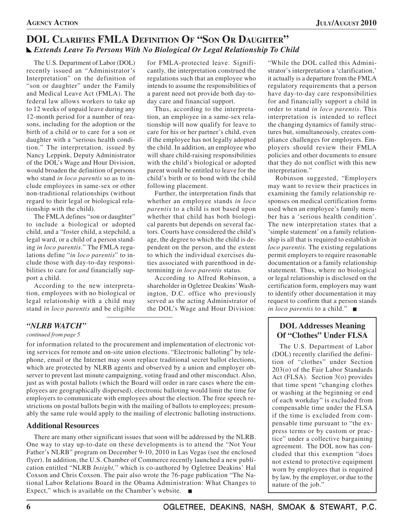## **DOL CLARIFIES FMLA DEFINITION OF "SON OR DAUGHTER"** *Extends Leave To Persons With No Biological Or Legal Relationship To Child*

The U.S. Department of Labor (DOL) recently issued an "Administrator's Interpretation" on the definition of "son or daughter" under the Family and Medical Leave Act (FMLA). The federal law allows workers to take up to 12 weeks of unpaid leave during any 12-month period for a number of reasons, including for the adoption or the birth of a child or to care for a son or daughter with a "serious health condition." The interpretation, issued by Nancy Leppink, Deputy Administrator of the DOL's Wage and Hour Division, would broaden the definition of persons who stand *in loco parentis* so as to include employees in same-sex or other non-traditional relationships (without regard to their legal or biological relationship with the child).

The FMLA defines "son or daughter" to include a biological or adopted child, and a "foster child, a stepchild, a legal ward, or a child of a person standing *in loco parentis*." The FMLA regulations define "*in loco parentis*" to include those with day-to-day responsibilities to care for *and* financially support a child.

According to the new interpretation, employees with no biological or legal relationship with a child may stand *in loco parentis* and be eligible for FMLA-protected leave. Significantly, the interpretation construed the regulations such that an employee who intends to assume the responsibilities of a parent need not provide both day-today care and financial support.

Thus, according to the interpretation, an employee in a same-sex relationship will now qualify for leave to care for his or her partner's child, even if the employee has not legally adopted the child. In addition, an employee who will share child-raising responsibilities with the child's biological or adopted parent would be entitled to leave for the child's birth or to bond with the child following placement.

Further, the interpretation finds that whether an employee stands *in loco parentis* to a child is not based upon whether that child has both biological parents but depends on several factors. Courts have considered the child's age, the degree to which the child is dependent on the person, and the extent to which the individual exercises duties associated with parenthood in determining *in loco parentis* status.

According to Alfred Robinson, a shareholder in Ogletree Deakins' Washington, D.C. office who previously served as the acting Administrator of the DOL's Wage and Hour Division:

## *"NLRB WATCH"*

#### *continued from page 5*

for information related to the procurement and implementation of electronic voting services for remote and on-site union elections. "Electronic balloting" by telephone, email or the Internet may soon replace traditional secret ballot elections, which are protected by NLRB agents and observed by a union and employer observer to prevent last minute campaigning, voting fraud and other misconduct. Also, just as with postal ballots (which the Board will order in rare cases where the employees are geographically dispersed), electronic balloting would limit the time for employers to communicate with employees about the election. The free speech restrictions on postal ballots begin with the mailing of ballots to employees; presumably the same rule would apply to the mailing of electronic balloting instructions.

### **Additional Resources**

There are many other significant issues that soon will be addressed by the NLRB. One way to stay up-to-date on these developments is to attend the "Not Your Father's NLRB" program on December 9-10, 2010 in Las Vegas (see the enclosed flyer). In addition, the U.S. Chamber of Commerce recently launched a new publication entitled "NLRB *Insight,*" which is co-authored by Ogletree Deakins' Hal Coxson and Chris Coxson. The pair also wrote the 76-page publication "The National Labor Relations Board in the Obama Administration: What Changes to Expect," which is available on the Chamber's website.

"While the DOL called this Administrator's interpretation a 'clarification,' it actually is a departure from the FMLA regulatory requirements that a person have day-to-day care responsibilities for and financially support a child in order to stand *in loco parentis*. This interpretation is intended to reflect the changing dynamics of family structures but, simultaneously, creates compliance challenges for employers. Employers should review their FMLA policies and other documents to ensure that they do not conflict with this new interpretation."

Robinson suggested, "Employers may want to review their practices in examining the family relationship responses on medical certification forms used when an employee's family member has a 'serious health condition'. The new interpretation states that a 'simple statement' on a family relationship is all that is required to establish *in loco parentis.* The existing regulations permit employers to require reasonable documentation or a family relationship statement. Thus, where no biological or legal relationship is disclosed on the certification form, employers may want to identify other documentation it may request to confirm that a person stands *in loco parentis* to a child." ■

## **DOL Addresses Meaning Of "Clothes" Under FLSA**

The U.S. Department of Labor (DOL) recently clarified the definition of "clothes" under Section 203(o) of the Fair Labor Standards Act (FLSA). Section 3(o) provides that time spent "changing clothes or washing at the beginning or end of each workday" is excluded from compensable time under the FLSA if the time is excluded from compensable time pursuant to "the express terms or by custom or practice" under a collective bargaining agreement. The DOL now has concluded that this exemption "does not extend to protective equipment worn by employees that is required by law, by the employer, or due to the nature of the job."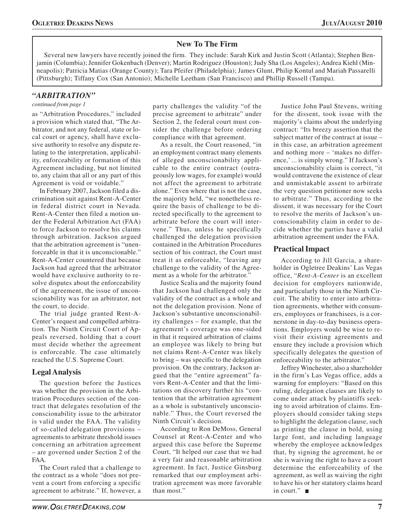## **New To The Firm**

Several new lawyers have recently joined the firm. They include: Sarah Kirk and Justin Scott (Atlanta); Stephen Benjamin (Columbia); Jennifer Gokenbach (Denver); Martin Rodriguez (Houston); Judy Sha (Los Angeles); Andrea Kiehl (Minneapolis); Patricia Matias (Orange County); Tara Pfeifer (Philadelphia); James Glunt, Philip Kontul and Mariah Passarelli (Pittsburgh); Tiffany Cox (San Antonio); Michelle Leetham (San Francisco) and Phillip Russell (Tampa).

## *"ARBITRATION"*

#### *continued from page 1*

as "Arbitration Procedures," included a provision which stated that, "The Arbitrator, and not any federal, state or local court or agency, shall have exclusive authority to resolve any dispute relating to the interpretation, applicability, enforceability or formation of this Agreement including, but not limited to, any claim that all or any part of this Agreement is void or voidable."

In February 2007, Jackson filed a discrimination suit against Rent-A-Center in federal district court in Nevada. Rent-A-Center then filed a motion under the Federal Arbitration Act (FAA) to force Jackson to resolve his claims through arbitration. Jackson argued that the arbitration agreement is "unenforceable in that it is unconscionable." Rent-A-Center countered that because Jackson had agreed that the arbitrator would have exclusive authority to resolve disputes about the enforceability of the agreement, the issue of unconscionability was for an arbitrator, not the court, to decide.

The trial judge granted Rent-A-Center's request and compelled arbitration. The Ninth Circuit Court of Appeals reversed, holding that a court must decide whether the agreement is enforceable. The case ultimately reached the U.S. Supreme Court.

## **Legal Analysis**

The question before the Justices was whether the provision in the Arbitration Procedures section of the contract that delegates resolution of the conscionability issue to the arbitrator is valid under the FAA. The validity of so-called delegation provisions – agreements to arbitrate threshold issues concerning an arbitration agreement – are governed under Section 2 of the FAA.

The Court ruled that a challenge to the contract as a whole "does not prevent a court from enforcing a specific agreement to arbitrate." If, however, a party challenges the validity "of the precise agreement to arbitrate" under Section 2, the federal court must consider the challenge before ordering compliance with that agreement.

As a result, the Court reasoned, "in an employment contract many elements of alleged unconscionability applicable to the entire contract (outrageously low wages, for example) would not affect the agreement to arbitrate alone." Even where that is not the case, the majority held, "we nonetheless require the basis of challenge to be directed specifically to the agreement to arbitrate before the court will intervene." Thus, unless he specifically challenged the delegation provision contained in the Arbitration Procedures section of his contract, the Court must treat it as enforceable, "leaving any challenge to the validity of the Agreement as a whole for the arbitrator."

Justice Scalia and the majority found that Jackson had challenged only the validity of the contract as a whole and not the delegation provision. None of Jackson's substantive unconscionability challenges – for example, that the agreement's coverage was one-sided in that it required arbitration of claims an employee was likely to bring but not claims Rent-A-Center was likely to bring – was specific to the delegation provision. On the contrary, Jackson argued that the "entire agreement" favors Rent-A-Center and that the limitations on discovery further his "contention that the arbitration agreement as a whole is substantively unconscionable." Thus, the Court reversed the Ninth Circuit's decision.

According to Ron DeMoss, General Counsel at Rent-A-Center and who argued this case before the Supreme Court, "It helped our case that we had a very fair and reasonable arbitration agreement. In fact, Justice Ginsburg remarked that our employment arbitration agreement was more favorable than most."

Justice John Paul Stevens, writing for the dissent, took issue with the majority's claims about the underlying contract: "Its breezy assertion that the subject matter of the contract at issue – in this case, an arbitration agreement and nothing more – 'makes no difference,' ... is simply wrong." If Jackson's unconscionability claim is correct, "it would contravene the existence of clear and unmistakable assent to arbitrate the very question petitioner now seeks to arbitrate." Thus, according to the dissent, it was necessary for the Court to resolve the merits of Jackson's unconscionability claim in order to decide whether the parties have a valid arbitration agreement under the FAA.

## **Practical Impact**

According to Jill Garcia, a shareholder in Ogletree Deakins' Las Vegas office, "*Rent-A-Center* is an excellent decision for employers nationwide, and particularly those in the Ninth Circuit. The ability to enter into arbitration agreements, whether with consumers, employees or franchisees, is a cornerstone in day-to-day business operations. Employers would be wise to revisit their existing agreements and ensure they include a provision which specifically delegates the question of enforceability to the arbitrator."

Jeffrey Winchester, also a shareholder in the firm's Las Vegas office, adds a warning for employers: "Based on this ruling, delegation clauses are likely to come under attack by plaintiffs seeking to avoid arbitration of claims. Employers should consider taking steps to highlight the delegation clause, such as printing the clause in bold, using large font, and including language whereby the employee acknowledges that, by signing the agreement, he or she is waiving the right to have a court determine the enforceability of the agreement, as well as waiving the right to have his or her statutory claims heard in court."